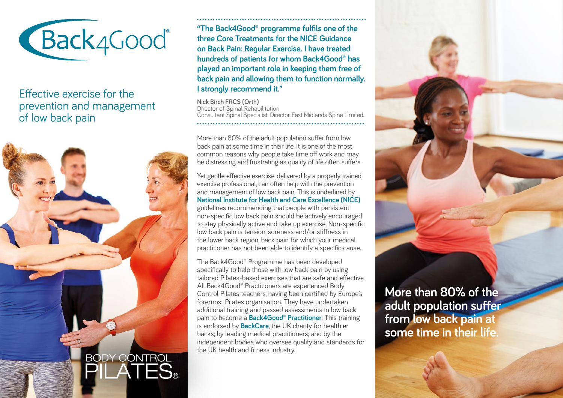

Effective exercise for the prevention and management of low back pain



**"The Back4Good® programme fulfils one of the three Core Treatments for the NICE Guidance on Back Pain: Regular Exercise. I have treated hundreds of patients for whom Back4Good® has played an important role in keeping them free of back pain and allowing them to function normally. I strongly recommend it."**

**Nick Birch FRCS (Orth)** Director of Spinal Rehabilitation Consultant Spinal Specialist. Director, East Midlands Spine Limited. 

More than 80% of the adult population suffer from low back pain at some time in their life. It is one of the most common reasons why people take time off work and may be distressing and frustrating as quality of life often suffers.

Yet gentle effective exercise, delivered by a properly trained exercise professional, can often help with the prevention and management of low back pain. This is underlined by **National Institute for Health and Care Excellence (NICE)**  guidelines recommending that people with persistent non-specific low back pain should be actively encouraged to stay physically active and take up exercise. Non-specific low back pain is tension, soreness and/or stiffness in the lower back region, back pain for which your medical practitioner has not been able to identify a specific cause.

The Back4Good® Programme has been developed specifically to help those with low back pain by using tailored Pilates-based exercises that are safe and effective. All Back4Good® Practitioners are experienced Body Control Pilates teachers, having been certified by Europe's foremost Pilates organisation. They have undertaken additional training and passed assessments in low back pain to become a **Back4Good® Practitioner**. This training is endorsed by **BackCare**, the UK charity for healthier backs; by leading medical practitioners; and by the independent bodies who oversee quality and standards for the UK health and fitness industry.

**More than 80% of the adult population suffer from low back pain at some time in their life.**